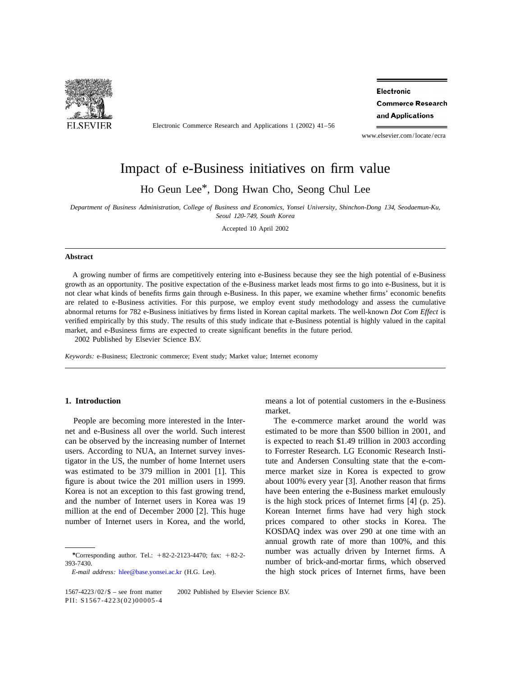

Electronic Commerce Research and Applications 1 (2002) 41–56

**Electronic Commerce Research** and Applications

www.elsevier.com/locate/ecra

## Impact of e-Business initiatives on firm value

Ho Geun Lee\*, Dong Hwan Cho, Seong Chul Lee

*Department of Business Administration*, *College of Business and Economics*, *Yonsei University*, *Shinchon*-*Dong* 134, *Seodaemun*-*Ku*, *Seoul* <sup>120</sup>-749, *South Korea*

Accepted 10 April 2002

## **Abstract**

A growing number of firms are competitively entering into e-Business because they see the high potential of e-Business growth as an opportunity. The positive expectation of the e-Business market leads most firms to go into e-Business, but it is not clear what kinds of benefits firms gain through e-Business. In this paper, we examine whether firms' economic benefits are related to e-Business activities. For this purpose, we employ event study methodology and assess the cumulative abnormal returns for 782 e-Business initiatives by firms listed in Korean capital markets. The well-known *Dot Com Effect* is verified empirically by this study. The results of this study indicate that e-Business potential is highly valued in the capital market, and e-Business firms are expected to create significant benefits in the future period. 2002 Published by Elsevier Science B.V.

*Keywords*: e-Business; Electronic commerce; Event study; Market value; Internet economy

net and e-Business all over the world. Such interest estimated to be more than \$500 billion in 2001, and can be observed by the increasing number of Internet is expected to reach \$1.49 trillion in 2003 according users. According to NUA, an Internet survey inves- to Forrester Research. LG Economic Research Institigator in the US, the number of home Internet users tute and Andersen Consulting state that the e-comwas estimated to be 379 million in 2001 [1]. This merce market size in Korea is expected to grow figure is about twice the 201 million users in 1999. about 100% every year [3]. Another reason that firms Korea is not an exception to this fast growing trend, have been entering the e-Business market emulously and the number of Internet users in Korea was 19 is the high stock prices of Internet firms [4] (p. 25). million at the end of December 2000 [2]. This huge Korean Internet firms have had very high stock number of Internet users in Korea, and the world, prices compared to other stocks in Korea. The

**1. Introduction** means a lot of potential customers in the e-Business market.

People are becoming more interested in the Inter- The e-commerce market around the world was KOSDAQ index was over 290 at one time with an annual growth rate of more than 100%, and this <sup>\*</sup> Corresponding author. Tel.: +82-2-2123-4470; fax: +82-2-<br><sup>\*</sup> number was actually driven by Internet firms. A 393-7430. number of brick-and-mortar firms, which observed *E-mail address*: [hlee@base.yonsei.ac.kr](mailto:hlee@base.yonsei.ac.kr) (H.G. Lee). the high stock prices of Internet firms, have been

 $1567-4223/02\sqrt{s}$  – see front matter  $\circ$  2002 Published by Elsevier Science B.V. PII: S1567-4223(02)00005-4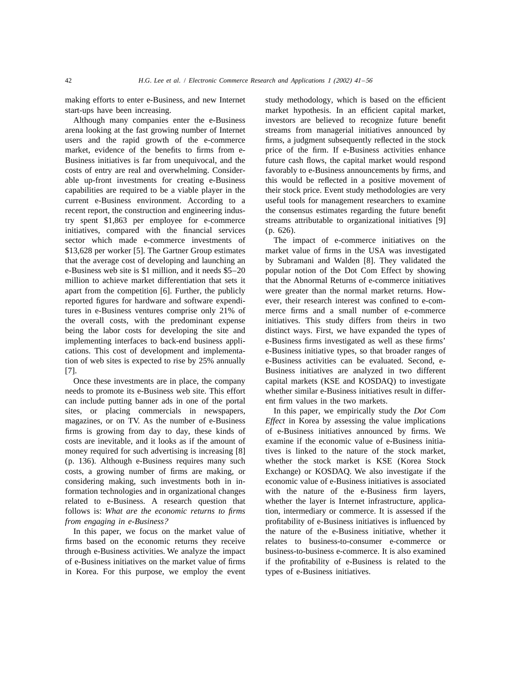making efforts to enter e-Business, and new Internet study methodology, which is based on the efficient

arena looking at the fast growing number of Internet streams from managerial initiatives announced by users and the rapid growth of the e-commerce firms, a judgment subsequently reflected in the stock market, evidence of the benefits to firms from e- price of the firm. If e-Business activities enhance Business initiatives is far from unequivocal, and the future cash flows, the capital market would respond costs of entry are real and overwhelming. Consider- favorably to e-Business announcements by firms, and able up-front investments for creating e-Business this would be reflected in a positive movement of capabilities are required to be a viable player in the their stock price. Event study methodologies are very current e-Business environment. According to a useful tools for management researchers to examine recent report, the construction and engineering indus- the consensus estimates regarding the future benefit try spent \$1,863 per employee for e-commerce streams attributable to organizational initiatives [9] initiatives, compared with the financial services (p. 626). sector which made e-commerce investments of The impact of e-commerce initiatives on the \$13,628 per worker [5]. The Gartner Group estimates market value of firms in the USA was investigated that the average cost of developing and launching an by Subramani and Walden [8]. They validated the e-Business web site is \$1 million, and it needs \$5–20 popular notion of the Dot Com Effect by showing million to achieve market differentiation that sets it that the Abnormal Returns of e-commerce initiatives apart from the competition [6]. Further, the publicly were greater than the normal market returns. Howreported figures for hardware and software expendi- ever, their research interest was confined to e-comtures in e-Business ventures comprise only 21% of merce firms and a small number of e-commerce the overall costs, with the predominant expense initiatives. This study differs from theirs in two being the labor costs for developing the site and distinct ways. First, we have expanded the types of implementing interfaces to back-end business appli- e-Business firms investigated as well as these firms' cations. This cost of development and implementa- e-Business initiative types, so that broader ranges of tion of web sites is expected to rise by 25% annually e-Business activities can be evaluated. Second, e- [7]. Business initiatives are analyzed in two different

needs to promote its e-Business web site. This effort whether similar e-Business initiatives result in differcan include putting banner ads in one of the portal ent firm values in the two markets. sites, or placing commercials in newspapers, In this paper, we empirically study the *Dot Com* magazines, or on TV. As the number of e-Business *Effect* in Korea by assessing the value implications firms is growing from day to day, these kinds of of e-Business initiatives announced by firms. We costs are inevitable, and it looks as if the amount of examine if the economic value of e-Business initiamoney required for such advertising is increasing [8] tives is linked to the nature of the stock market, (p. 136). Although e-Business requires many such whether the stock market is KSE (Korea Stock costs, a growing number of firms are making, or Exchange) or KOSDAQ. We also investigate if the considering making, such investments both in in- economic value of e-Business initiatives is associated formation technologies and in organizational changes with the nature of the e-Business firm layers, related to e-Business. A research question that whether the layer is Internet infrastructure, applicafollows is: *What are the economic returns to firms* tion, intermediary or commerce. It is assessed if the *from engaging in e-Business*? profitability of e-Business initiatives is influenced by

firms based on the economic returns they receive relates to business-to-consumer e-commerce or through e-Business activities. We analyze the impact business-to-business e-commerce. It is also examined of e-Business initiatives on the market value of firms if the profitability of e-Business is related to the in Korea. For this purpose, we employ the event types of e-Business initiatives.

start-ups have been increasing. market hypothesis. In an efficient capital market, Although many companies enter the e-Business investors are believed to recognize future benefit

Once these investments are in place, the company capital markets (KSE and KOSDAQ) to investigate

In this paper, we focus on the market value of the nature of the e-Business initiative, whether it